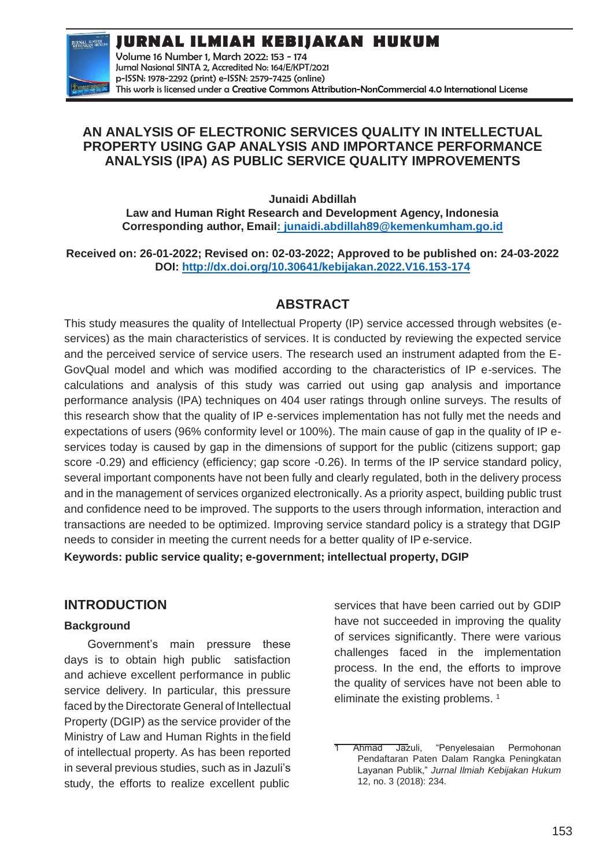**JURNAL ILMIAH KEBIJAKAN HUKUM**



Volume 16 Number 1, March 2022: 153 - 174 Jurnal Nasional SINTA 2, Accredited No: 164/E/KPT/2021 p-ISSN: 1978-2292 (print) e-ISSN: 2579-7425 (online) This work is licensed under a [Creative Commons Attribution-NonCommercial 4.0 International License](https://creativecommons.org/licenses/by-nc/4.0/)

# **AN ANALYSIS OF ELECTRONIC SERVICES QUALITY IN INTELLECTUAL PROPERTY USING GAP ANALYSIS AND IMPORTANCE PERFORMANCE ANALYSIS (IPA) AS PUBLIC SERVICE QUALITY IMPROVEMENTS**

**Junaidi Abdillah**

**Law and Human Right Research and Development Agency, Indonesia Corresponding author, Emai[l: junaidi.abdillah89@kemenkumham.go.id](mailto::%20junaidi.abdillah89@kemenkumham.go.id)**

**Received on: 26-01-2022; Revised on: 02-03-2022; Approved to be published on: 24-03-2022 DOI:<http://dx.doi.org/10.30641/kebijakan.2022.V16.153-174>**

# **ABSTRACT**

This study measures the quality of Intellectual Property (IP) service accessed through websites (eservices) as the main characteristics of services. It is conducted by reviewing the expected service and the perceived service of service users. The research used an instrument adapted from the E-GovQual model and which was modified according to the characteristics of IP e-services. The calculations and analysis of this study was carried out using gap analysis and importance performance analysis (IPA) techniques on 404 user ratings through online surveys. The results of this research show that the quality of IP e-services implementation has not fully met the needs and expectations of users (96% conformity level or 100%). The main cause of gap in the quality of IP eservices today is caused by gap in the dimensions of support for the public (citizens support; gap score -0.29) and efficiency (efficiency; gap score -0.26). In terms of the IP service standard policy, several important components have not been fully and clearly regulated, both in the delivery process and in the management of services organized electronically. As a priority aspect, building public trust and confidence need to be improved. The supports to the users through information, interaction and transactions are needed to be optimized. Improving service standard policy is a strategy that DGIP needs to consider in meeting the current needs for a better quality of IP e-service.

**Keywords: public service quality; e-government; intellectual property, DGIP**

# **INTRODUCTION**

# **Background**

Government's main pressure these days is to obtain high public satisfaction and achieve excellent performance in public service delivery. In particular, this pressure faced by the Directorate General of Intellectual Property (DGIP) as the service provider of the Ministry of Law and Human Rights in the field of intellectual property. As has been reported in several previous studies, such as in Jazuli's study, the efforts to realize excellent public

services that have been carried out by GDIP have not succeeded in improving the quality of services significantly. There were various challenges faced in the implementation process. In the end, the efforts to improve the quality of services have not been able to eliminate the existing problems.<sup>1</sup>

Ahmad Jazuli, "Penyelesaian Permohonan Pendaftaran Paten Dalam Rangka Peningkatan Layanan Publik," *Jurnal Ilmiah Kebijakan Hukum*  12, no. 3 (2018): 234.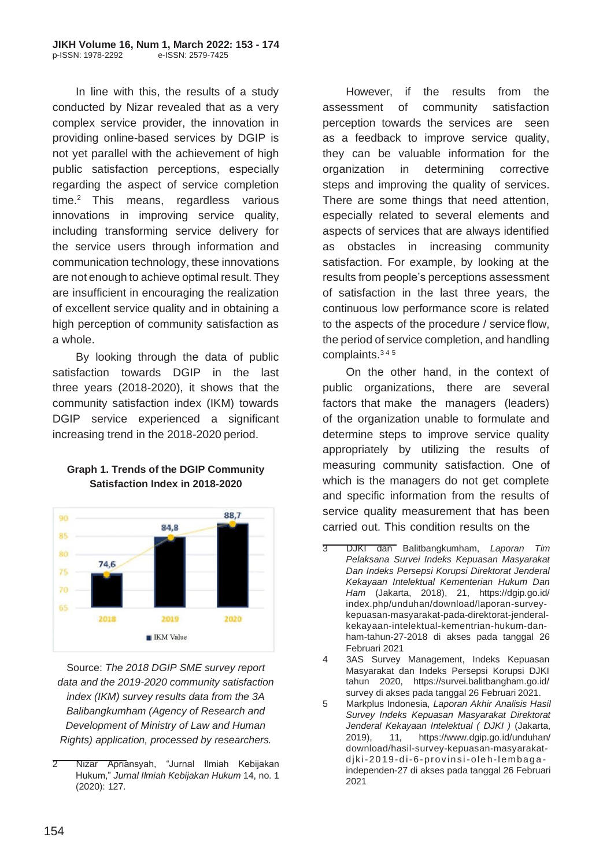In line with this, the results of a study conducted by Nizar revealed that as a very complex service provider, the innovation in providing online-based services by DGIP is not yet parallel with the achievement of high public satisfaction perceptions, especially regarding the aspect of service completion  $time<sup>2</sup>$  This means, regardless various innovations in improving service quality, including transforming service delivery for the service users through information and communication technology, these innovations are not enough to achieve optimal result. They are insufficient in encouraging the realization of excellent service quality and in obtaining a high perception of community satisfaction as a whole.

By looking through the data of public satisfaction towards DGIP in the last three years (2018-2020), it shows that the community satisfaction index (IKM) towards DGIP service experienced a significant increasing trend in the 2018-2020 period.



# **Graph 1. Trends of the DGIP Community Satisfaction Index in 2018-2020**

Source: *The 2018 DGIP SME survey report data and the 2019-2020 community satisfaction index (IKM) survey results data from the 3A Balibangkumham (Agency of Research and Development of Ministry of Law and Human Rights) application, processed by researchers.*

However, if the results from the assessment of community satisfaction perception towards the services are seen as a feedback to improve service quality, they can be valuable information for the organization in determining corrective steps and improving the quality of services. There are some things that need attention, especially related to several elements and aspects of services that are always identified as obstacles in increasing community satisfaction. For example, by looking at the results from people's perceptions assessment of satisfaction in the last three years, the continuous low performance score is related to the aspects of the procedure / service flow, the period of service completion, and handling complaints.3 4 <sup>5</sup>

On the other hand, in the context of public organizations, there are several factors that make the managers (leaders) of the organization unable to formulate and determine steps to improve service quality appropriately by utilizing the results of measuring community satisfaction. One of which is the managers do not get complete and specific information from the results of service quality measurement that has been carried out. This condition results on the

4 3AS Survey Management, Indeks Kepuasan Masyarakat dan Indeks Persepsi Korupsi DJKI tahun 2020, https://survei.balitbangham.go.id/ survey di akses pada tanggal 26 Februari 2021.

5 Markplus Indonesia, *Laporan Akhir Analisis Hasil Survey Indeks Kepuasan Masyarakat Direktorat Jenderal Kekayaan Intelektual ( DJKI )* (Jakarta, 2019), 11, [https://www.dgip.go.id/unduhan/](http://www.dgip.go.id/unduhan/) download/hasil-survey-kepuasan-masyarakatdjki-2019-di-6-provinsi-oleh-lembagaindependen-27 di akses pada tanggal 26 Februari 2021

<sup>2</sup> Nizar Apriansyah, "Jurnal Ilmiah Kebijakan Hukum," *Jurnal Ilmiah Kebijakan Hukum* 14, no. 1 (2020): 127.

<sup>3</sup> DJKI dan Balitbangkumham, *Laporan Tim Pelaksana Survei Indeks Kepuasan Masyarakat Dan Indeks Persepsi Korupsi Direktorat Jenderal Kekayaan Intelektual Kementerian Hukum Dan Ham* (Jakarta, 2018), 21, https://dgip.go.id/ index.php/unduhan/download/laporan-surveykepuasan-masyarakat-pada-direktorat-jenderalkekayaan-intelektual-kementrian-hukum-danham-tahun-27-2018 di akses pada tanggal 26 Februari 2021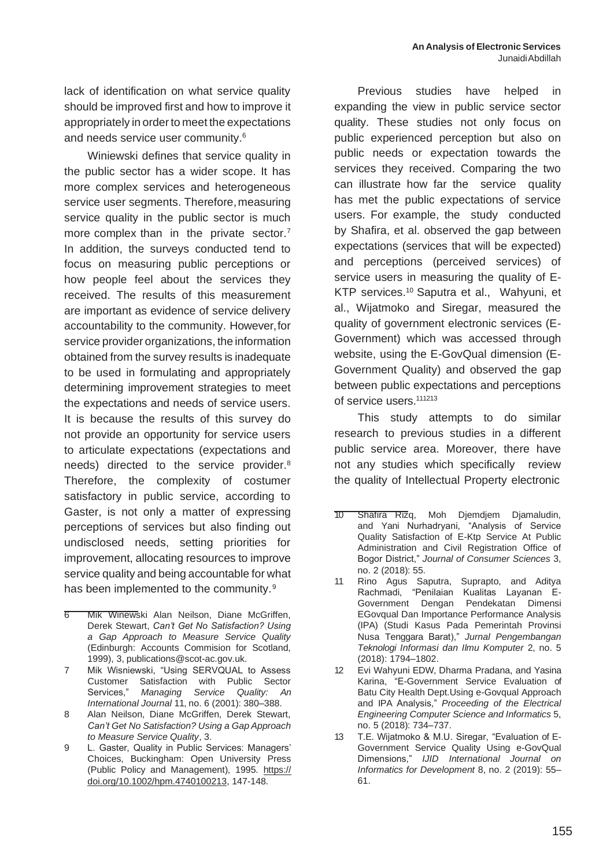lack of identification on what service quality should be improved first and how to improve it appropriately in order to meet the expectations and needs service user community.<sup>6</sup>

Winiewski defines that service quality in the public sector has a wider scope. It has more complex services and heterogeneous service user segments. Therefore, measuring service quality in the public sector is much more complex than in the private sector.<sup>7</sup> In addition, the surveys conducted tend to focus on measuring public perceptions or how people feel about the services they received. The results of this measurement are important as evidence of service delivery accountability to the community. However,for service provider organizations, the information obtained from the survey results is inadequate to be used in formulating and appropriately determining improvement strategies to meet the expectations and needs of service users. It is because the results of this survey do not provide an opportunity for service users to articulate expectations (expectations and needs) directed to the service provider.<sup>8</sup> Therefore, the complexity of costumer satisfactory in public service, according to Gaster, is not only a matter of expressing perceptions of services but also finding out undisclosed needs, setting priorities for improvement, allocating resources to improve service quality and being accountable for what has been implemented to the community.<sup>9</sup>

- 8 Alan Neilson, Diane McGriffen, Derek Stewart, *Can't Get No Satisfaction? Using a Gap Approach to Measure Service Quality*, 3.
- 9 L. Gaster, Quality in Public Services: Managers' Choices, Buckingham: Open University Press (Public Policy and Management), 1995. https:// doi.org/10.1002/hpm.4740100213, 147-148.

Previous studies have helped in expanding the view in public service sector quality. These studies not only focus on public experienced perception but also on public needs or expectation towards the services they received. Comparing the two can illustrate how far the service quality has met the public expectations of service users. For example, the study conducted by Shafira, et al. observed the gap between expectations (services that will be expected) and perceptions (perceived services) of service users in measuring the quality of E-KTP services.<sup>10</sup> Saputra et al., Wahyuni, et al., Wijatmoko and Siregar, measured the quality of government electronic services (E-Government) which was accessed through website, using the E-GovQual dimension (E-Government Quality) and observed the gap between public expectations and perceptions of service users.<sup>111213</sup>

This study attempts to do similar research to previous studies in a different public service area. Moreover, there have not any studies which specifically review the quality of Intellectual Property electronic

- 10 Shafira Rizq, Moh Djemdjem Djamaludin, and Yani Nurhadryani, "Analysis of Service Quality Satisfaction of E-Ktp Service At Public Administration and Civil Registration Office of Bogor District," *Journal of Consumer Sciences* 3, no. 2 (2018): 55.
- 11 Rino Agus Saputra, Suprapto, and Aditya Rachmadi, "Penilaian Kualitas Layanan E-Government Dengan Pendekatan Dimensi EGovqual Dan Importance Performance Analysis (IPA) (Studi Kasus Pada Pemerintah Provinsi Nusa Tenggara Barat)," *Jurnal Pengembangan Teknologi Informasi dan Ilmu Komputer* 2, no. 5 (2018): 1794–1802.
- 12 Evi Wahyuni EDW, Dharma Pradana, and Yasina Karina, "E-Government Service Evaluation of Batu City Health Dept.Using e-Govqual Approach and IPA Analysis," *Proceeding of the Electrical Engineering Computer Science and Informatics* 5, no. 5 (2018): 734–737.
- 13 T.E. Wijatmoko & M.U. Siregar, "Evaluation of E-Government Service Quality Using e-GovQual Dimensions," *IJID International Journal on Informatics for Development* 8, no. 2 (2019): 55– 61.

<sup>6</sup> Mik Winewski Alan Neilson, Diane McGriffen, Derek Stewart, *Can't Get No Satisfaction? Using a Gap Approach to Measure Service Quality*  (Edinburgh: Accounts Commision for Scotland, 1999), 3, [publications@scot-ac.gov.uk.](mailto:publications@scot-ac.gov.uk)

<sup>7</sup> Mik Wisniewski, "Using SERVQUAL to Assess Customer Satisfaction with Public Sector Services," *Managing Service Quality: An International Journal* 11, no. 6 (2001): 380–388.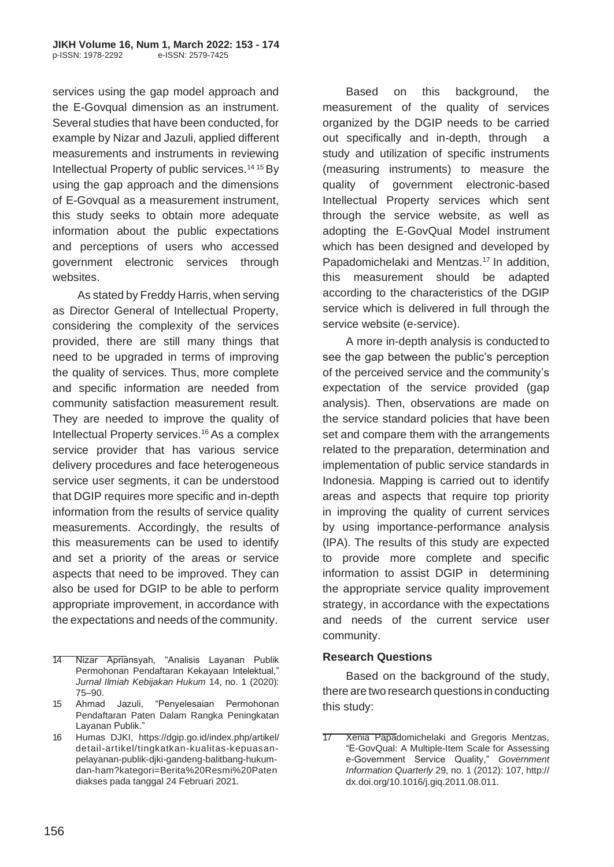services using the gap model approach and the E-Govqual dimension as an instrument. Several studies that have been conducted, for example by Nizar and Jazuli, applied different measurements and instruments in reviewing Intellectual Property of public services.14 15 By using the gap approach and the dimensions of E-Govqual as a measurement instrument, this study seeks to obtain more adequate information about the public expectations and perceptions of users who accessed government electronic services through websites.

As stated by Freddy Harris, when serving as Director General of Intellectual Property, considering the complexity of the services provided, there are still many things that need to be upgraded in terms of improving the quality of services. Thus, more complete and specific information are needed from community satisfaction measurement result. They are needed to improve the quality of Intellectual Property services.<sup>16</sup> As a complex service provider that has various service delivery procedures and face heterogeneous service user segments, it can be understood that DGIP requires more specific and in-depth information from the results of service quality measurements. Accordingly, the results of this measurements can be used to identify and set a priority of the areas or service aspects that need to be improved. They can also be used for DGIP to be able to perform appropriate improvement, in accordance with the expectations and needs of the community.

Based on this background, the measurement of the quality of services organized by the DGIP needs to be carried out specifically and in-depth, through study and utilization of specific instruments (measuring instruments) to measure the quality of government electronic-based Intellectual Property services which sent through the service website, as well as adopting the E-GovQual Model instrument which has been designed and developed by Papadomichelaki and Mentzas.<sup>17</sup> In addition, this measurement should be adapted according to the characteristics of the DGIP service which is delivered in full through the service website (e-service).

A more in-depth analysis is conducted to see the gap between the public's perception of the perceived service and the community's expectation of the service provided (gap analysis). Then, observations are made on the service standard policies that have been set and compare them with the arrangements related to the preparation, determination and implementation of public service standards in Indonesia. Mapping is carried out to identify areas and aspects that require top priority in improving the quality of current services by using importance-performance analysis (IPA). The results of this study are expected to provide more complete and specific information to assist DGIP in determining the appropriate service quality improvement strategy, in accordance with the expectations and needs of the current service user community.

### **Research Questions**

Based on the background of the study, there are two research questions in conducting this study:

<sup>14</sup> Nizar Apriansyah, "Analisis Layanan Publik Permohonan Pendaftaran Kekayaan Intelektual," *Jurnal Ilmiah Kebijakan Hukum* 14, no. 1 (2020): 75–90.

<sup>15</sup> Ahmad Jazuli, "Penyelesaian Permohonan Pendaftaran Paten Dalam Rangka Peningkatan Layanan Publik."

<sup>16</sup> Humas DJKI, https://dgip.go.id/index.php/artikel/ detail-artikel/tingkatkan-kualitas-kepuasanpelayanan-publik-djki-gandeng-balitbang-hukumdan-ham?kategori=Berita%20Resmi%20Paten diakses pada tanggal 24 Februari 2021.

**<sup>17</sup> Xenia Papadomichelaki and Gregoris Mentzas,** "E-GovQual: A Multiple-Item Scale for Assessing e-Government Service Quality," *Government Information Quarterly* 29, no. 1 (2012): 107, http:// dx.doi.org/10.1016/j.giq.2011.08.011.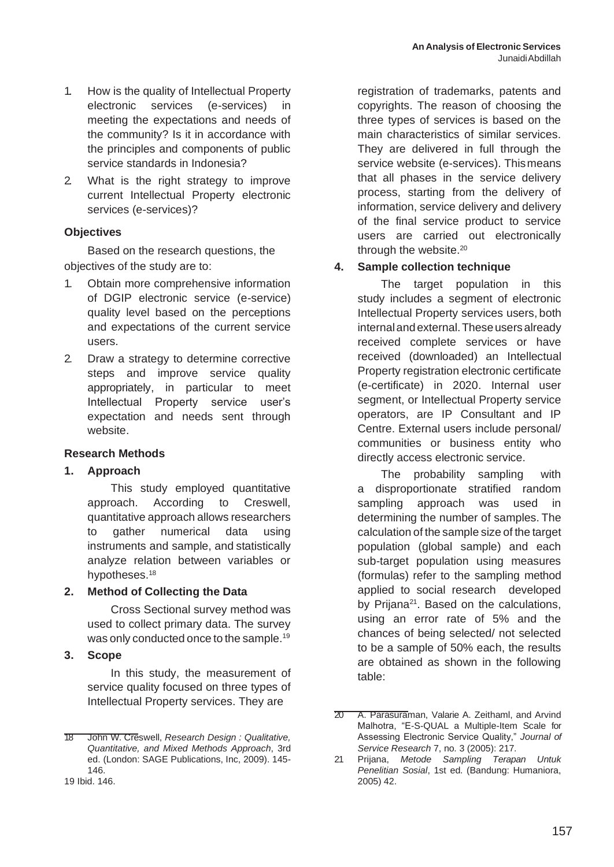- 1. How is the quality of Intellectual Property electronic services (e-services) in meeting the expectations and needs of the community? Is it in accordance with the principles and components of public service standards in Indonesia?
- 2. What is the right strategy to improve current Intellectual Property electronic services (e-services)?

### **Objectives**

Based on the research questions, the objectives of the study are to:

- 1. Obtain more comprehensive information of DGIP electronic service (e-service) quality level based on the perceptions and expectations of the current service users.
- 2. Draw a strategy to determine corrective steps and improve service quality appropriately, in particular to meet Intellectual Property service user's expectation and needs sent through website.

### **Research Methods**

### **1. Approach**

This study employed quantitative approach. According to Creswell, quantitative approach allows researchers to gather numerical data using instruments and sample, and statistically analyze relation between variables or hypotheses.<sup>18</sup>

### **2. Method of Collecting the Data**

Cross Sectional survey method was used to collect primary data. The survey was only conducted once to the sample.<sup>19</sup>

### **3. Scope**

In this study, the measurement of service quality focused on three types of Intellectual Property services. They are

19 Ibid. 146.

registration of trademarks, patents and copyrights. The reason of choosing the three types of services is based on the main characteristics of similar services. They are delivered in full through the service website (e-services). Thismeans that all phases in the service delivery process, starting from the delivery of information, service delivery and delivery of the final service product to service users are carried out electronically through the website.<sup>20</sup>

## **4. Sample collection technique**

The target population in this study includes a segment of electronic Intellectual Property services users, both internal and external. These users already received complete services or have received (downloaded) an Intellectual Property registration electronic certificate (e-certificate) in 2020. Internal user segment, or Intellectual Property service operators, are IP Consultant and IP Centre. External users include personal/ communities or business entity who directly access electronic service.

The probability sampling with a disproportionate stratified random sampling approach was used in determining the number of samples. The calculation of the sample size of the target population (global sample) and each sub-target population using measures (formulas) refer to the sampling method applied to social research developed by Prijana<sup>21</sup>. Based on the calculations, using an error rate of 5% and the chances of being selected/ not selected to be a sample of 50% each, the results are obtained as shown in the following table:

<sup>18</sup> John W. Creswell, *Research Design : Qualitative, Quantitative, and Mixed Methods Approach*, 3rd ed. (London: SAGE Publications, Inc, 2009). 145- 146.

<sup>20</sup> A. Parasuraman, Valarie A. Zeithaml, and Arvind Malhotra, "E-S-QUAL a Multiple-Item Scale for Assessing Electronic Service Quality," *Journal of Service Research* 7, no. 3 (2005): 217.

<sup>21</sup> Prijana, *Metode Sampling Terapan Untuk Penelitian Sosial*, 1st ed. (Bandung: Humaniora, 2005) 42.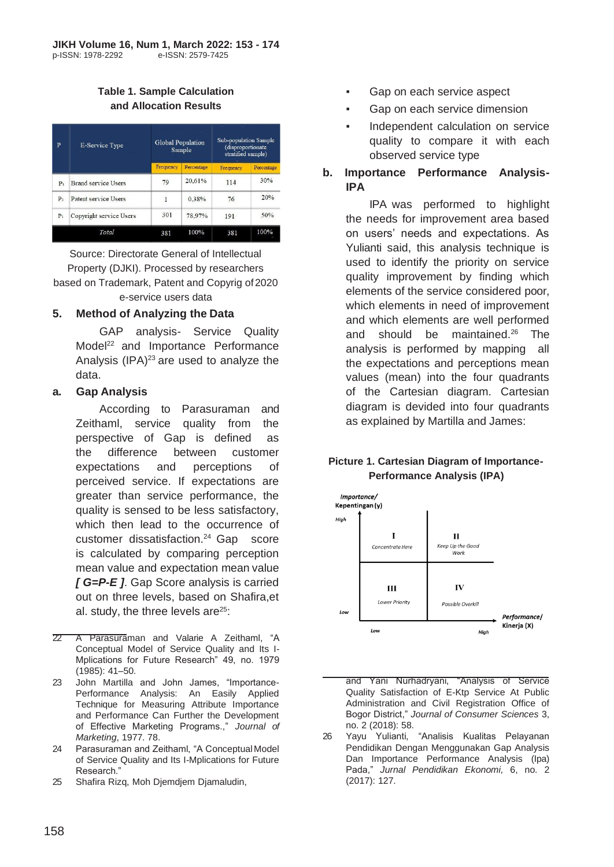## **Table 1. Sample Calculation and Allocation Results**

| P              | <b>E-Service Type</b>      |           | <b>Global Population</b><br>Sample |           | Sub-population Sample<br>(disproportionate<br>stratified sample) |  |
|----------------|----------------------------|-----------|------------------------------------|-----------|------------------------------------------------------------------|--|
|                |                            | Frequency | Percentage                         | Frequency | Percentage                                                       |  |
| $P_1$          | <b>Brand service Users</b> | 79        | 20,61%                             | 114       | 30%                                                              |  |
| P <sub>2</sub> | Patent service Users       | 1         | 0.38%                              | 76        | 20%                                                              |  |
| P <sub>3</sub> | Copyright service Users    | 301       | 78,97%                             | 191       | 50%                                                              |  |
|                | Total                      | 381       | 100%                               | 381       | 100%                                                             |  |

Source: Directorate General of Intellectual Property (DJKI). Processed by researchers based on Trademark, Patent and Copyrig of 2020 e-service users data

## **5. Method of Analyzing the Data**

GAP analysis- Service Quality Model<sup>22</sup> and Importance Performance Analysis  $(IPA)^{23}$  are used to analyze the data.

### **a. Gap Analysis**

According to Parasuraman and Zeithaml, service quality from the perspective of Gap is defined as the difference between customer expectations and perceptions of perceived service. If expectations are greater than service performance, the quality is sensed to be less satisfactory, which then lead to the occurrence of customer dissatisfaction.<sup>24</sup> Gap score is calculated by comparing perception mean value and expectation mean value *[ G=P-E ]*. Gap Score analysis is carried out on three levels, based on Shafira,et al. study, the three levels are $25$ :

22 A Parasuraman and Valarie A Zeithaml, "A Conceptual Model of Service Quality and Its I-Mplications for Future Research" 49, no. 1979 (1985): 41–50.

23 John Martilla and John James, "Importance-Performance Analysis: An Easily Applied Technique for Measuring Attribute Importance and Performance Can Further the Development of Effective Marketing Programs.," *Journal of Marketing*, 1977. 78.

24 Parasuraman and Zeithaml, "A Conceptual Model of Service Quality and Its I-Mplications for Future Research."

25 Shafira Rizq, Moh Djemdjem Djamaludin,

- Gap on each service aspect
- Gap on each service dimension
- Independent calculation on service quality to compare it with each observed service type

### **b. Importance Performance Analysis-IPA**

IPA was performed to highlight the needs for improvement area based on users' needs and expectations. As Yulianti said, this analysis technique is used to identify the priority on service quality improvement by finding which elements of the service considered poor, which elements in need of improvement and which elements are well performed and should be maintained. $26$  The analysis is performed by mapping all the expectations and perceptions mean values (mean) into the four quadrants of the Cartesian diagram. Cartesian diagram is devided into four quadrants as explained by Martilla and James:

## **Picture 1. Cartesian Diagram of Importance-Performance Analysis (IPA)**



and Yani Nurhadryani, "Analysis of Service Quality Satisfaction of E-Ktp Service At Public Administration and Civil Registration Office of Bogor District," *Journal of Consumer Sciences* 3, no. 2 (2018): 58.

26 Yayu Yulianti, "Analisis Kualitas Pelayanan Pendidikan Dengan Menggunakan Gap Analysis Dan Importance Performance Analysis (Ipa) Pada," *Jurnal Pendidikan Ekonomi,* 6, no. 2 (2017): 127.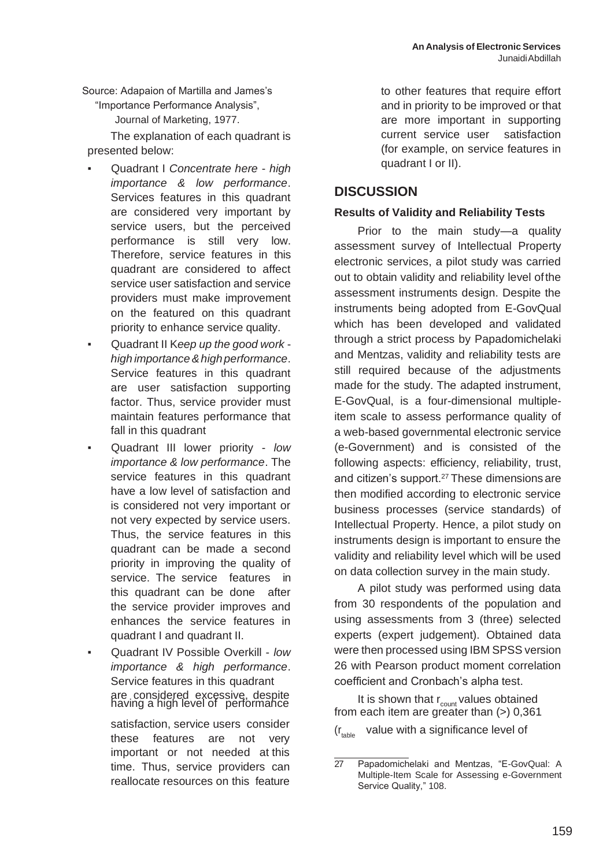Source: Adapaion of Martilla and James's

"Importance Performance Analysis", Journal of Marketing, 1977.

The explanation of each quadrant is presented below:

- Quadrant I *Concentrate here high importance & low performance*. Services features in this quadrant are considered very important by service users, but the perceived performance is still very low. Therefore, service features in this quadrant are considered to affect service user satisfaction and service providers must make improvement on the featured on this quadrant priority to enhance service quality.
- Quadrant II K*eep up the good work high importance&high performance*. Service features in this quadrant are user satisfaction supporting factor. Thus, service provider must maintain features performance that fall in this quadrant
- Quadrant III lower priority *low importance & low performance*. The service features in this quadrant have a low level of satisfaction and is considered not very important or not very expected by service users. Thus, the service features in this quadrant can be made a second priority in improving the quality of service. The service features in this quadrant can be done after the service provider improves and enhances the service features in quadrant I and quadrant II.

▪ Quadrant IV Possible Overkill - *low importance & high performance*. Service features in this quadrant are considered excessive, despite<br>having a high level of performance It is shown that r<sub>count</sub> values obtained

satisfaction, service users consider these features are not very important or not needed at this time. Thus, service providers can reallocate resources on this feature

to other features that require effort and in priority to be improved or that are more important in supporting current service user satisfaction (for example, on service features in quadrant I or II).

# **DISCUSSION**

## **Results of Validity and Reliability Tests**

Prior to the main study—a quality assessment survey of Intellectual Property electronic services, a pilot study was carried out to obtain validity and reliability level ofthe assessment instruments design. Despite the instruments being adopted from E-GovQual which has been developed and validated through a strict process by Papadomichelaki and Mentzas, validity and reliability tests are still required because of the adjustments made for the study. The adapted instrument, E-GovQual, is a four-dimensional multipleitem scale to assess performance quality of a web-based governmental electronic service (e-Government) and is consisted of the following aspects: efficiency, reliability, trust, and citizen's support.<sup>27</sup> These dimensions are then modified according to electronic service business processes (service standards) of Intellectual Property. Hence, a pilot study on instruments design is important to ensure the validity and reliability level which will be used on data collection survey in the main study.

A pilot study was performed using data from 30 respondents of the population and using assessments from 3 (three) selected experts (expert judgement). Obtained data were then processed using IBM SPSS version 26 with Pearson product moment correlation coefficient and Cronbach's alpha test.

from each item are greater than  $(>)$  0,361  $(r_{table}$  value with a significance level of

<sup>27</sup> Papadomichelaki and Mentzas, "E-GovQual: A Multiple-Item Scale for Assessing e-Government Service Quality," 108.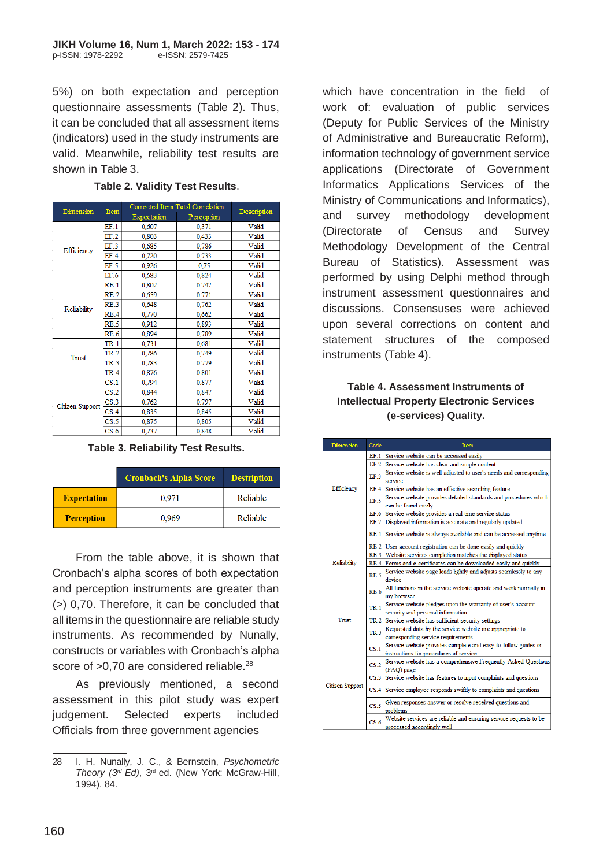5%) on both expectation and perception questionnaire assessments (Table 2). Thus, it can be concluded that all assessment items (indicators) used in the study instruments are valid. Meanwhile, reliability test results are shown in Table 3.

| Dimension       | Item            | Conceited from Total Concidenti | Description |       |
|-----------------|-----------------|---------------------------------|-------------|-------|
|                 |                 | Expectation                     | Perception  |       |
|                 | EF.1            | 0,607                           | 0,371       | Valid |
|                 | EF.2            | 0.803                           | 0,433       | Valid |
| Efficiency      | EF.3            | 0.685                           | 0.786       | Valid |
|                 | EF.4            | 0,720                           | 0,733       | Valid |
|                 | EF.5            | 0,926                           | 0,75        | Valid |
|                 | EF <sub>6</sub> | 0,683                           | 0,824       | Valid |
|                 | RE.1            | 0.802                           | 0,742       | Valid |
|                 | RE.2            | 0.659                           | 0.771       | Valid |
| Reliability     | RE.3            | 0.648                           | 0,762       | Valid |
|                 | RE.4            | 0,770                           | 0,662       | Valid |
|                 | RE.5            | 0,912                           | 0,893       | Valid |
|                 | RE.6            | 0,894                           | 0,789       | Valid |
|                 | <b>TR.1</b>     | 0.731                           | 0.681       | Valid |
| Trust           | TR.2            | 0.786                           | 0.749       | Valid |
|                 | <b>TR.3</b>     | 0,783                           | 0,779       | Valid |
|                 | TR.4            | 0,876                           | 0,801       | Valid |
|                 | CS.1            | 0,794                           | 0,877       | Valid |
|                 | CS.2            | 0,844                           | 0,847       | Valid |
| Citizen Support | CS.3            | 0.762                           | 0,797       | Valid |
|                 | CS.4            | 0,835                           | 0.845       | Valid |
|                 | CS.5            | 0,875                           | 0,805       | Valid |
|                 | CS.6            | 0,737                           | 0,848       | Valid |

#### **Table 2. Validity Test Results**.

#### **Table 3. Reliability Test Results.**

|                    | <b>Cronbach's Alpha Score</b> | <b>Destription</b> |
|--------------------|-------------------------------|--------------------|
| <b>Expectation</b> | 0.971                         | Reliable           |
| <b>Perception</b>  | 0,969                         | Reliable           |

From the table above, it is shown that Cronbach's alpha scores of both expectation and perception instruments are greater than (>) 0,70. Therefore, it can be concluded that all items in the questionnaire are reliable study instruments. As recommended by Nunally, constructs or variables with Cronbach's alpha score of >0,70 are considered reliable.<sup>28</sup>

As previously mentioned, a second assessment in this pilot study was expert judgement. Selected experts included Officials from three government agencies

which have concentration in the field of work of: evaluation of public services (Deputy for Public Services of the Ministry of Administrative and Bureaucratic Reform), information technology of government service applications (Directorate of Government Informatics Applications Services of the Ministry of Communications and Informatics), and survey methodology development (Directorate of Census and Survey Methodology Development of the Central Bureau of Statistics). Assessment was performed by using Delphi method through instrument assessment questionnaires and discussions. Consensuses were achieved upon several corrections on content and statement structures of the composed instruments (Table 4).

### **Table 4. Assessment Instruments of Intellectual Property Electronic Services (e-services) Quality.**

| <b>Dimension</b> | Code            | Item                                                                                                     |  |  |  |
|------------------|-----------------|----------------------------------------------------------------------------------------------------------|--|--|--|
|                  |                 | EF.1 Service website can be accessed easily                                                              |  |  |  |
|                  |                 | EF.2 Service website has clear and simple content                                                        |  |  |  |
|                  | EF3             | Service website is well-adjusted to user's needs and corresponding<br>service                            |  |  |  |
| Efficiency       |                 | EF.4 Service website has an effective searching feature                                                  |  |  |  |
|                  | EF.5            | Service website provides detailed standards and procedures which<br>can be found easily                  |  |  |  |
|                  |                 | EF.6 Service website provides a real-time service status                                                 |  |  |  |
|                  |                 | EF.7 Displayed information is accurate and regularly updated                                             |  |  |  |
|                  |                 | RE.1 Service website is always available and can be accessed anytime                                     |  |  |  |
|                  |                 | RE.2 User account registration can be done easily and quickly                                            |  |  |  |
|                  |                 | RE.3 Website services completion matches the displayed status                                            |  |  |  |
| Reliability      |                 | RE.4 Forms and e-certificates can be downloaded easily and quickly                                       |  |  |  |
|                  | RE.5            | Service website page loads lightly and adjusts seamlessly to any<br>device                               |  |  |  |
|                  |                 | RE.6 All functions in the service website operate and work normally in<br>my browser                     |  |  |  |
|                  | TR.1            | Service website pledges upon the warranty of user's account<br>security and personal information         |  |  |  |
| Trust            |                 | TR.2 Service website has sufficient security settings                                                    |  |  |  |
|                  | <b>TR.3</b>     | Requested data by the service website are appropriate to<br>corresponding service requirements           |  |  |  |
|                  | CS.1            | Service website provides complete and easy-to-follow guides or<br>instructions for procedures of service |  |  |  |
|                  | CS.2            | Service website has a comprehensive Frequently-Asked-Questions<br>(FAO) page                             |  |  |  |
|                  | CS.3            | Service website has features to input complaints and questions                                           |  |  |  |
| Citizen Support  |                 | CS.4 Service employee responds swiftly to complaints and questions                                       |  |  |  |
|                  | CS.5            | Given responses answer or resolve received questions and<br>problems                                     |  |  |  |
|                  | CS <sub>6</sub> | Website services are reliable and ensuring service requests to be<br>processed accordingly well          |  |  |  |

<sup>28</sup> I. H. Nunally, J. C., & Bernstein, *Psychometric Theory (3rd Ed)*, 3rd ed. (New York: McGraw-Hill, 1994). 84.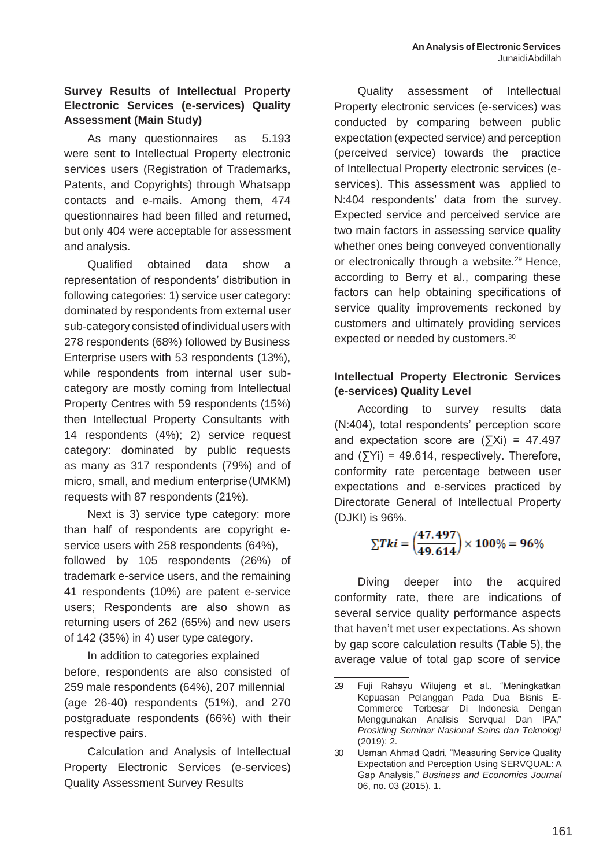# **Survey Results of Intellectual Property Electronic Services (e-services) Quality Assessment (Main Study)**

As many questionnaires as 5.193 were sent to Intellectual Property electronic services users (Registration of Trademarks, Patents, and Copyrights) through Whatsapp contacts and e-mails. Among them, 474 questionnaires had been filled and returned, but only 404 were acceptable for assessment and analysis.

Qualified obtained data show a representation of respondents' distribution in following categories: 1) service user category: dominated by respondents from external user sub-category consisted of individual users with 278 respondents (68%) followed by Business Enterprise users with 53 respondents (13%), while respondents from internal user subcategory are mostly coming from Intellectual Property Centres with 59 respondents (15%) then Intellectual Property Consultants with 14 respondents (4%); 2) service request category: dominated by public requests as many as 317 respondents (79%) and of micro, small, and medium enterprise(UMKM) requests with 87 respondents (21%).

Next is 3) service type category: more than half of respondents are copyright eservice users with 258 respondents (64%), followed by 105 respondents (26%) of trademark e-service users, and the remaining 41 respondents (10%) are patent e-service users; Respondents are also shown as returning users of 262 (65%) and new users of 142 (35%) in 4) user type category.

In addition to categories explained before, respondents are also consisted of 259 male respondents (64%), 207 millennial (age 26-40) respondents (51%), and 270 postgraduate respondents (66%) with their respective pairs.

Calculation and Analysis of Intellectual Property Electronic Services (e-services) Quality Assessment Survey Results

Quality assessment of Intellectual Property electronic services (e-services) was conducted by comparing between public expectation (expected service) and perception (perceived service) towards the practice of Intellectual Property electronic services (eservices). This assessment was applied to N:404 respondents' data from the survey. Expected service and perceived service are two main factors in assessing service quality whether ones being conveyed conventionally or electronically through a website.<sup>29</sup> Hence, according to Berry et al., comparing these factors can help obtaining specifications of service quality improvements reckoned by customers and ultimately providing services expected or needed by customers.<sup>30</sup>

# **Intellectual Property Electronic Services (e-services) Quality Level**

According to survey results data (N:404), total respondents' perception score and expectation score are  $(5Xi) = 47.497$ and  $(\sum Yi) = 49.614$ , respectively. Therefore, conformity rate percentage between user expectations and e-services practiced by Directorate General of Intellectual Property (DJKI) is 96%.

$$
\Sigma Tki = \left(\frac{47.497}{49.614}\right) \times 100\% = 96\%
$$

Diving deeper into the acquired conformity rate, there are indications of several service quality performance aspects that haven't met user expectations. As shown by gap score calculation results (Table 5), the average value of total gap score of service

<sup>29</sup> Fuji Rahayu Wilujeng et al., "Meningkatkan Kepuasan Pelanggan Pada Dua Bisnis E-Commerce Terbesar Di Indonesia Dengan Menggunakan Analisis Servqual Dan IPA," *Prosiding Seminar Nasional Sains dan Teknologi*  (2019): 2.

<sup>30</sup> Usman Ahmad Qadri, "Measuring Service Quality Expectation and Perception Using SERVQUAL: A Gap Analysis," *Business and Economics Journal*  06, no. 03 (2015). 1.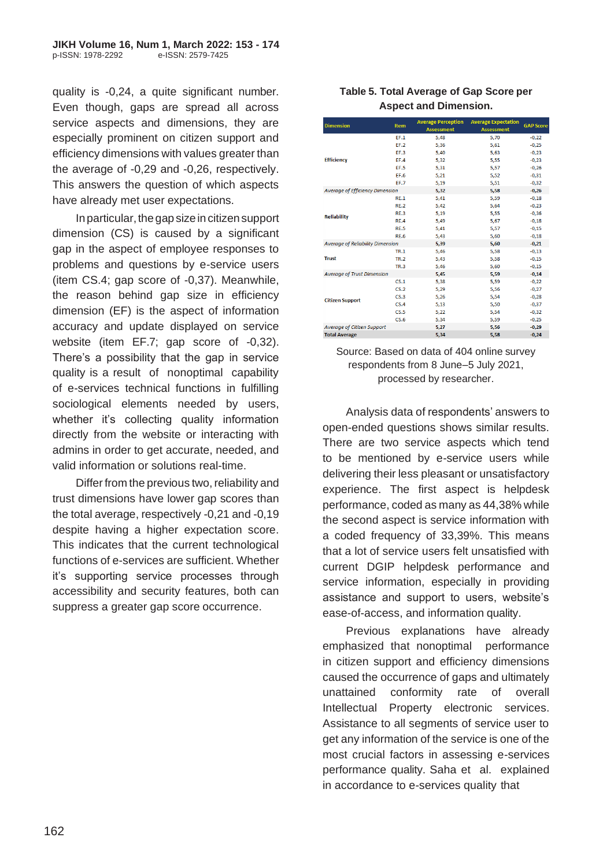quality is -0,24, a quite significant number. Even though, gaps are spread all across service aspects and dimensions, they are especially prominent on citizen support and efficiency dimensions with values greater than the average of -0,29 and -0,26, respectively. This answers the question of which aspects have already met user expectations.

In particular, the gap size in citizen support dimension (CS) is caused by a significant gap in the aspect of employee responses to problems and questions by e-service users (item CS.4; gap score of -0,37). Meanwhile, the reason behind gap size in efficiency dimension (EF) is the aspect of information accuracy and update displayed on service website (item EF.7; gap score of -0,32). There's a possibility that the gap in service quality is a result of nonoptimal capability of e-services technical functions in fulfilling sociological elements needed by users, whether it's collecting quality information directly from the website or interacting with admins in order to get accurate, needed, and valid information or solutions real-time.

Differ from the previous two, reliability and trust dimensions have lower gap scores than the total average, respectively -0,21 and -0,19 despite having a higher expectation score. This indicates that the current technological functions of e-services are sufficient. Whether it's supporting service processes through accessibility and security features, both can suppress a greater gap score occurrence.

### **Table 5. Total Average of Gap Score per Aspect and Dimension.**

| <b>Dimension</b>                       | <b>Item</b>                             | <b>Average Perception</b><br><b>Assessment</b> | <b>Average Expectation</b><br><b>Assessment</b> | <b>GAP Score</b> |
|----------------------------------------|-----------------------------------------|------------------------------------------------|-------------------------------------------------|------------------|
|                                        | EF.1                                    | 5,48                                           | 5,70                                            | $-0,22$          |
|                                        | EF.2                                    | 5,36                                           | 5.61                                            | $-0.25$          |
|                                        | EF.3                                    | 5,40                                           | 5,63                                            | $-0,23$          |
| <b>Efficiency</b>                      | EF.4                                    | 5,32                                           | 5,55                                            | $-0,23$          |
|                                        | EF.5                                    | 5,31                                           | 5,57                                            | $-0,26$          |
|                                        | <b>EF.6</b>                             | 5,21                                           | 5,52                                            | $-0,31$          |
|                                        | EF.7                                    | 5,19                                           | 5,51                                            | $-0.32$          |
| <b>Average of Efficiency Dimension</b> |                                         | 5,32                                           | 5,58                                            | $-0,26$          |
|                                        | RE.1                                    | 5,41                                           | 5,59                                            | $-0,18$          |
|                                        | <b>RE.2</b>                             | 5,42                                           | 5,64                                            | $-0,23$          |
| <b>Reliability</b>                     | <b>RE.3</b>                             | 5,19                                           | 5,55                                            | $-0,36$          |
|                                        | <b>RE.4</b>                             | 5,49                                           | 5,67                                            | $-0,18$          |
|                                        | <b>RE.5</b>                             | 5,41                                           | 5,57                                            | $-0.15$          |
|                                        | <b>RE.6</b>                             | 5,43                                           | 5,60                                            | $-0,18$          |
|                                        | <b>Average of Reliability Dimension</b> |                                                | 5.60                                            | $-0,21$          |
|                                        | <b>TR.1</b>                             | 5,46                                           | 5,58                                            | $-0,13$          |
| <b>Trust</b>                           | <b>TR.2</b>                             | 5,43                                           | 5,58                                            | $-0,15$          |
|                                        | <b>TR.3</b>                             | 5,46                                           | 5,60                                            | $-0,15$          |
|                                        | <b>Average of Trust Dimension</b>       |                                                | 5,59                                            | $-0,14$          |
|                                        | CS.1                                    | 5,38                                           | 5,59                                            | $-0.22$          |
|                                        | CS.2                                    | 5,29                                           | 5,56                                            | $-0,27$          |
| <b>Citizen Support</b>                 | CS.3                                    | 5,26                                           | 5,54                                            | $-0,28$          |
|                                        | CS.4                                    | 5,13                                           | 5,50                                            | $-0,37$          |
|                                        | CS.5                                    | 5,22                                           | 5,54                                            | $-0,32$          |
|                                        | CS.6                                    | 5,34                                           | 5,59                                            | $-0,25$          |
|                                        | <b>Average of Citizen Support</b>       |                                                | 5,56                                            | $-0,29$          |
| <b>Total Average</b>                   |                                         | 5,34                                           | 5,58                                            | $-0,24$          |

#### Source: Based on data of 404 online survey respondents from 8 June–5 July 2021, processed by researcher.

Analysis data of respondents' answers to open-ended questions shows similar results. There are two service aspects which tend to be mentioned by e-service users while delivering their less pleasant or unsatisfactory experience. The first aspect is helpdesk performance, coded as many as 44,38% while the second aspect is service information with a coded frequency of 33,39%. This means that a lot of service users felt unsatisfied with current DGIP helpdesk performance and service information, especially in providing assistance and support to users, website's ease-of-access, and information quality.

Previous explanations have already emphasized that nonoptimal performance in citizen support and efficiency dimensions caused the occurrence of gaps and ultimately unattained conformity rate of overall Intellectual Property electronic services. Assistance to all segments of service user to get any information of the service is one of the most crucial factors in assessing e-services performance quality. Saha et al. explained in accordance to e-services quality that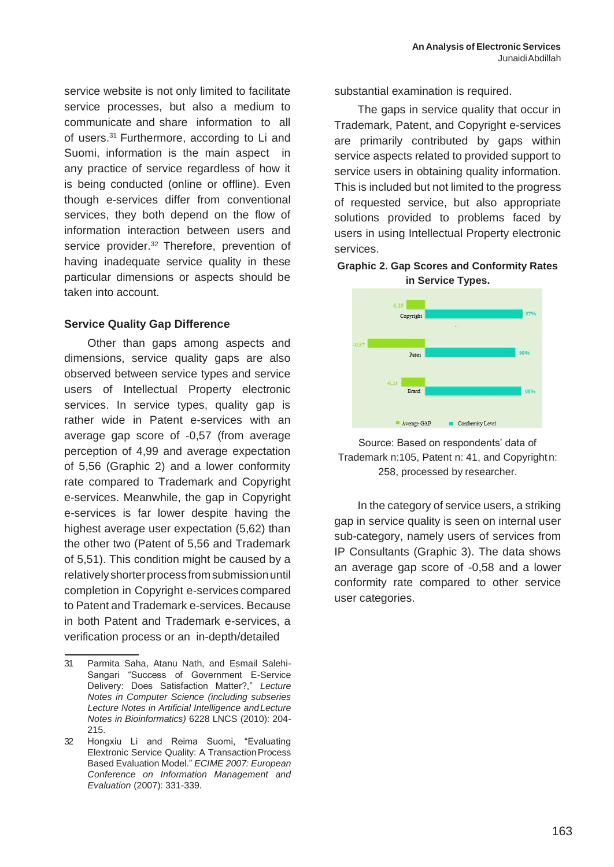service website is not only limited to facilitate service processes, but also a medium to communicate and share information to all of users.<sup>31</sup> Furthermore, according to Li and Suomi, information is the main aspect in any practice of service regardless of how it is being conducted (online or offline). Even though e-services differ from conventional services, they both depend on the flow of information interaction between users and service provider.<sup>32</sup> Therefore, prevention of having inadequate service quality in these particular dimensions or aspects should be taken into account.

### **Service Quality Gap Difference**

Other than gaps among aspects and dimensions, service quality gaps are also observed between service types and service users of Intellectual Property electronic services. In service types, quality gap is rather wide in Patent e-services with an average gap score of -0,57 (from average perception of 4,99 and average expectation of 5,56 (Graphic 2) and a lower conformity rate compared to Trademark and Copyright e-services. Meanwhile, the gap in Copyright e-services is far lower despite having the highest average user expectation (5,62) than the other two (Patent of 5,56 and Trademark of 5,51). This condition might be caused by a relativelyshorterprocessfromsubmissionuntil completion in Copyright e-services compared to Patent and Trademark e-services. Because in both Patent and Trademark e-services, a verification process or an in-depth/detailed

substantial examination is required.

The gaps in service quality that occur in Trademark, Patent, and Copyright e-services are primarily contributed by gaps within service aspects related to provided support to service users in obtaining quality information. This is included but not limited to the progress of requested service, but also appropriate solutions provided to problems faced by users in using Intellectual Property electronic services.

### **Graphic 2. Gap Scores and Conformity Rates in Service Types.**



### Source: Based on respondents' data of Trademark n:105, Patent n: 41, and Copyrightn: 258, processed by researcher.

In the category of service users, a striking gap in service quality is seen on internal user sub-category, namely users of services from IP Consultants (Graphic 3). The data shows an average gap score of -0,58 and a lower conformity rate compared to other service user categories.

<sup>31</sup> Parmita Saha, Atanu Nath, and Esmail Salehi-Sangari "Success of Government E-Service Delivery: Does Satisfaction Matter?," *Lecture Notes in Computer Science (including subseries Lecture Notes in Artificial Intelligence andLecture Notes in Bioinformatics)* 6228 LNCS (2010): 204- 215.

<sup>32</sup> Hongxiu Li and Reima Suomi, "Evaluating Elextronic Service Quality: A Transaction Process Based Evaluation Model." *ECIME 2007: European Conference on Information Management and Evaluation* (2007): 331-339.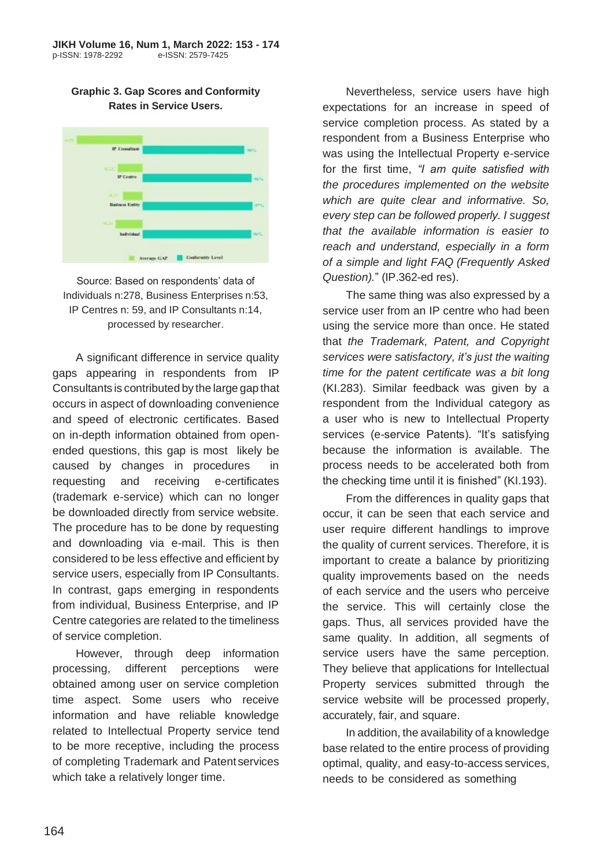**Graphic 3. Gap Scores and Conformity Rates in Service Users.**



Source: Based on respondents' data of Individuals n:278, Business Enterprises n:53, IP Centres n: 59, and IP Consultants n:14, processed by researcher.

A significant difference in service quality gaps appearing in respondents from IP Consultants is contributed by the large gap that occurs in aspect of downloading convenience and speed of electronic certificates. Based on in-depth information obtained from openended questions, this gap is most likely be caused by changes in procedures in requesting and receiving e-certificates (trademark e-service) which can no longer be downloaded directly from service website. The procedure has to be done by requesting and downloading via e-mail. This is then considered to be less effective and efficient by service users, especially from IP Consultants. In contrast, gaps emerging in respondents from individual, Business Enterprise, and IP Centre categories are related to the timeliness of service completion.

However, through deep information processing, different perceptions were obtained among user on service completion time aspect. Some users who receive information and have reliable knowledge related to Intellectual Property service tend to be more receptive, including the process of completing Trademark and Patent services which take a relatively longer time.

Nevertheless, service users have high expectations for an increase in speed of service completion process. As stated by a respondent from a Business Enterprise who was using the Intellectual Property e-service for the first time, *"I am quite satisfied with the procedures implemented on the website which are quite clear and informative. So, every step can be followed properly. I suggest that the available information is easier to reach and understand, especially in a form of a simple and light FAQ (Frequently Asked Question).*" (IP.362-ed res).

The same thing was also expressed by a service user from an IP centre who had been using the service more than once. He stated that *the Trademark, Patent, and Copyright services were satisfactory, it's just the waiting time for the patent certificate was a bit long*  (KI.283). Similar feedback was given by a respondent from the Individual category as a user who is new to Intellectual Property services (e-service Patents). "It's satisfying because the information is available. The process needs to be accelerated both from the checking time until it is finished" (KI.193).

From the differences in quality gaps that occur, it can be seen that each service and user require different handlings to improve the quality of current services. Therefore, it is important to create a balance by prioritizing quality improvements based on the needs of each service and the users who perceive the service. This will certainly close the gaps. Thus, all services provided have the same quality. In addition, all segments of service users have the same perception. They believe that applications for Intellectual Property services submitted through the service website will be processed properly, accurately, fair, and square.

In addition, the availability of a knowledge base related to the entire process of providing optimal, quality, and easy-to-access services, needs to be considered as something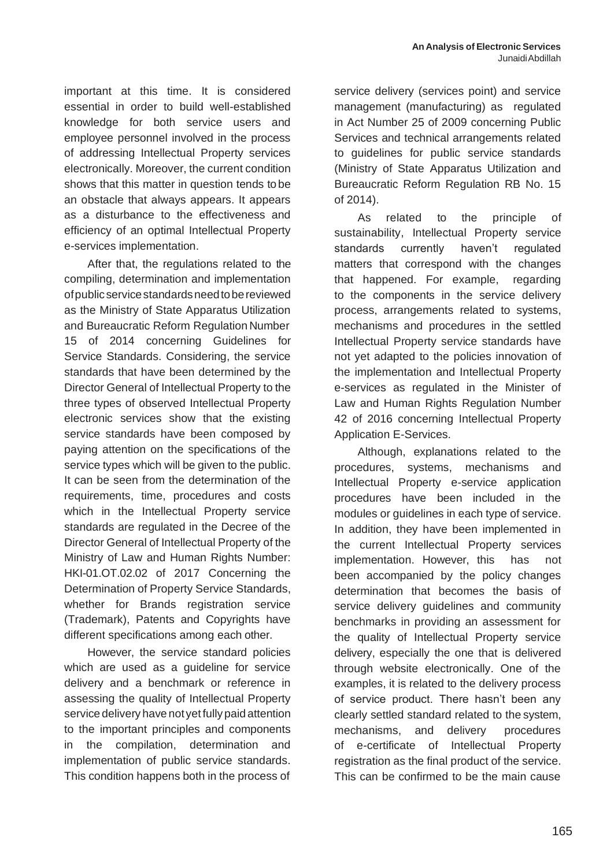important at this time. It is considered essential in order to build well-established knowledge for both service users and employee personnel involved in the process of addressing Intellectual Property services electronically. Moreover, the current condition shows that this matter in question tends to be an obstacle that always appears. It appears as a disturbance to the effectiveness and efficiency of an optimal Intellectual Property e-services implementation.

After that, the regulations related to the compiling, determination and implementation ofpublicservicestandardsneedtobereviewed as the Ministry of State Apparatus Utilization and Bureaucratic Reform Regulation Number 15 of 2014 concerning Guidelines for Service Standards. Considering, the service standards that have been determined by the Director General of Intellectual Property to the three types of observed Intellectual Property electronic services show that the existing service standards have been composed by paying attention on the specifications of the service types which will be given to the public. It can be seen from the determination of the requirements, time, procedures and costs which in the Intellectual Property service standards are regulated in the Decree of the Director General of Intellectual Property of the Ministry of Law and Human Rights Number: HKI-01.OT.02.02 of 2017 Concerning the Determination of Property Service Standards, whether for Brands registration service (Trademark), Patents and Copyrights have different specifications among each other.

However, the service standard policies which are used as a guideline for service delivery and a benchmark or reference in assessing the quality of Intellectual Property service delivery have not yet fully paid attention to the important principles and components in the compilation, determination and implementation of public service standards. This condition happens both in the process of service delivery (services point) and service management (manufacturing) as regulated in Act Number 25 of 2009 concerning Public Services and technical arrangements related to guidelines for public service standards (Ministry of State Apparatus Utilization and Bureaucratic Reform Regulation RB No. 15 of 2014).

As related to the principle of sustainability, Intellectual Property service standards currently haven't regulated matters that correspond with the changes that happened. For example, regarding to the components in the service delivery process, arrangements related to systems, mechanisms and procedures in the settled Intellectual Property service standards have not yet adapted to the policies innovation of the implementation and Intellectual Property e-services as regulated in the Minister of Law and Human Rights Regulation Number 42 of 2016 concerning Intellectual Property Application E-Services.

Although, explanations related to the procedures, systems, mechanisms and Intellectual Property e-service application procedures have been included in the modules or guidelines in each type of service. In addition, they have been implemented in the current Intellectual Property services implementation. However, this has not been accompanied by the policy changes determination that becomes the basis of service delivery guidelines and community benchmarks in providing an assessment for the quality of Intellectual Property service delivery, especially the one that is delivered through website electronically. One of the examples, it is related to the delivery process of service product. There hasn't been any clearly settled standard related to the system, mechanisms, and delivery procedures of e-certificate of Intellectual Property registration as the final product of the service. This can be confirmed to be the main cause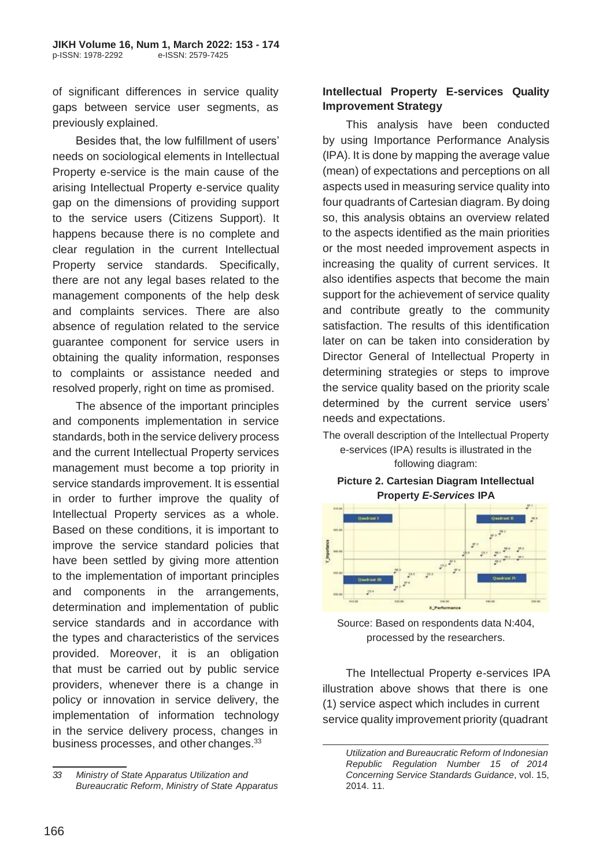of significant differences in service quality gaps between service user segments, as previously explained.

Besides that, the low fulfillment of users' needs on sociological elements in Intellectual Property e-service is the main cause of the arising Intellectual Property e-service quality gap on the dimensions of providing support to the service users (Citizens Support). It happens because there is no complete and clear regulation in the current Intellectual Property service standards. Specifically, there are not any legal bases related to the management components of the help desk and complaints services. There are also absence of regulation related to the service guarantee component for service users in obtaining the quality information, responses to complaints or assistance needed and resolved properly, right on time as promised.

The absence of the important principles and components implementation in service standards, both in the service delivery process and the current Intellectual Property services management must become a top priority in service standards improvement. It is essential in order to further improve the quality of Intellectual Property services as a whole. Based on these conditions, it is important to improve the service standard policies that have been settled by giving more attention to the implementation of important principles and components in the arrangements, determination and implementation of public service standards and in accordance with the types and characteristics of the services provided. Moreover, it is an obligation that must be carried out by public service providers, whenever there is a change in policy or innovation in service delivery, the implementation of information technology in the service delivery process, changes in business processes, and other changes.<sup>33</sup>

# **Intellectual Property E-services Quality Improvement Strategy**

This analysis have been conducted by using Importance Performance Analysis (IPA). It is done by mapping the average value (mean) of expectations and perceptions on all aspects used in measuring service quality into four quadrants of Cartesian diagram. By doing so, this analysis obtains an overview related to the aspects identified as the main priorities or the most needed improvement aspects in increasing the quality of current services. It also identifies aspects that become the main support for the achievement of service quality and contribute greatly to the community satisfaction. The results of this identification later on can be taken into consideration by Director General of Intellectual Property in determining strategies or steps to improve the service quality based on the priority scale determined by the current service users' needs and expectations.

The overall description of the Intellectual Property e-services (IPA) results is illustrated in the

following diagram:

#### **Picture 2. Cartesian Diagram Intellectual Property** *E-Services* **IPA**



Source: Based on respondents data N:404, processed by the researchers.

The Intellectual Property e-services IPA illustration above shows that there is one (1) service aspect which includes in current service quality improvement priority (quadrant

*<sup>33</sup> Ministry of State Apparatus Utilization and Bureaucratic Reform*, *Ministry of State Apparatus*

*Utilization and Bureaucratic Reform of Indonesian Republic Regulation Number 15 of 2014 Concerning Service Standards Guidance*, vol. 15, 2014. 11.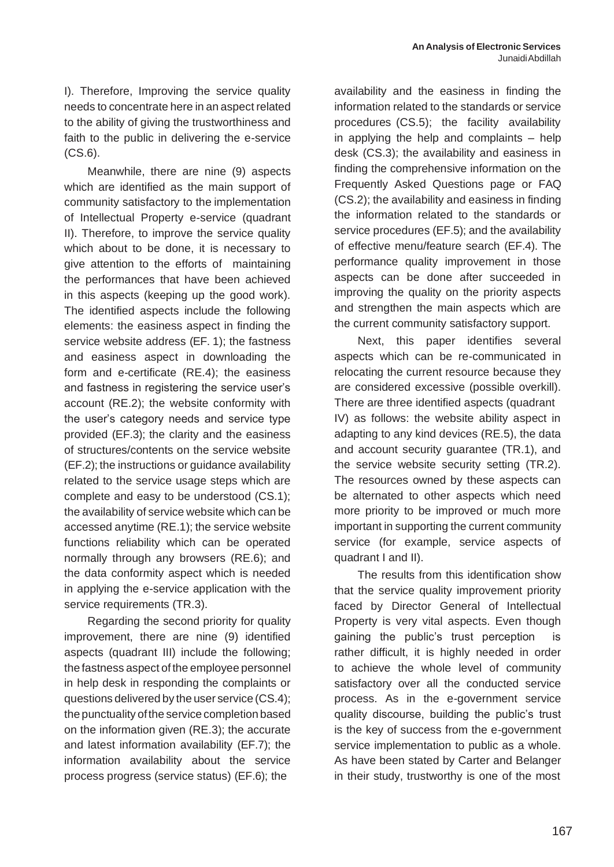I). Therefore, Improving the service quality needs to concentrate here in an aspect related to the ability of giving the trustworthiness and faith to the public in delivering the e-service (CS.6).

Meanwhile, there are nine (9) aspects which are identified as the main support of community satisfactory to the implementation of Intellectual Property e-service (quadrant II). Therefore, to improve the service quality which about to be done, it is necessary to give attention to the efforts of maintaining the performances that have been achieved in this aspects (keeping up the good work). The identified aspects include the following elements: the easiness aspect in finding the service website address (EF. 1); the fastness and easiness aspect in downloading the form and e-certificate (RE.4); the easiness and fastness in registering the service user's account (RE.2); the website conformity with the user's category needs and service type provided (EF.3); the clarity and the easiness of structures/contents on the service website (EF.2); the instructions or guidance availability related to the service usage steps which are complete and easy to be understood (CS.1); the availability of service website which can be accessed anytime (RE.1); the service website functions reliability which can be operated normally through any browsers (RE.6); and the data conformity aspect which is needed in applying the e-service application with the service requirements (TR.3).

Regarding the second priority for quality improvement, there are nine (9) identified aspects (quadrant III) include the following; the fastness aspect of the employee personnel in help desk in responding the complaints or questions delivered by the user service (CS.4); the punctuality of the service completion based on the information given (RE.3); the accurate and latest information availability (EF.7); the information availability about the service process progress (service status) (EF.6); the

availability and the easiness in finding the information related to the standards or service procedures (CS.5); the facility availability in applying the help and complaints – help desk (CS.3); the availability and easiness in finding the comprehensive information on the Frequently Asked Questions page or FAQ (CS.2); the availability and easiness in finding the information related to the standards or service procedures (EF.5); and the availability of effective menu/feature search (EF.4). The performance quality improvement in those aspects can be done after succeeded in improving the quality on the priority aspects and strengthen the main aspects which are the current community satisfactory support.

Next, this paper identifies several aspects which can be re-communicated in relocating the current resource because they are considered excessive (possible overkill). There are three identified aspects (quadrant IV) as follows: the website ability aspect in adapting to any kind devices (RE.5), the data and account security guarantee (TR.1), and the service website security setting (TR.2). The resources owned by these aspects can be alternated to other aspects which need more priority to be improved or much more important in supporting the current community service (for example, service aspects of quadrant I and II).

The results from this identification show that the service quality improvement priority faced by Director General of Intellectual Property is very vital aspects. Even though gaining the public's trust perception is rather difficult, it is highly needed in order to achieve the whole level of community satisfactory over all the conducted service process. As in the e-government service quality discourse, building the public's trust is the key of success from the e-government service implementation to public as a whole. As have been stated by Carter and Belanger in their study, trustworthy is one of the most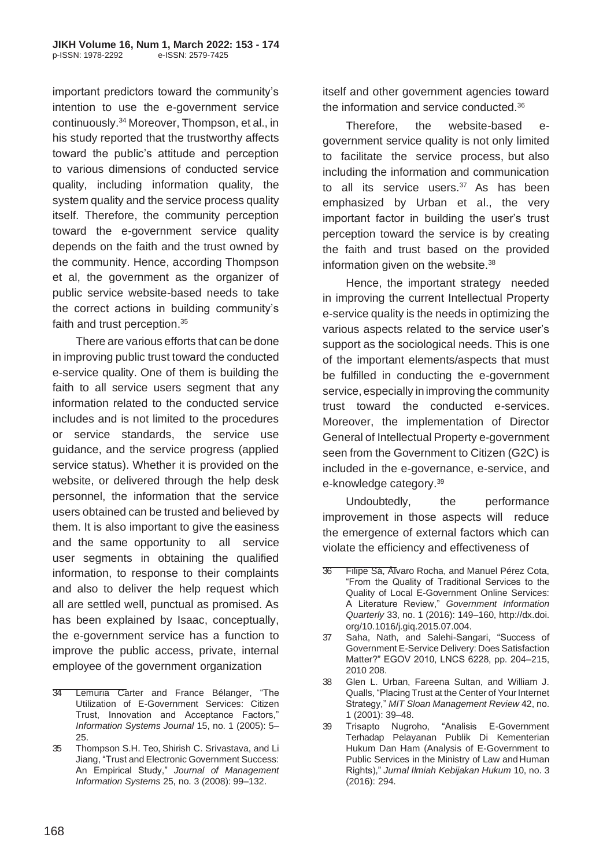important predictors toward the community's intention to use the e-government service continuously.<sup>34</sup> Moreover, Thompson, et al., in his study reported that the trustworthy affects toward the public's attitude and perception to various dimensions of conducted service quality, including information quality, the system quality and the service process quality itself. Therefore, the community perception toward the e-government service quality depends on the faith and the trust owned by the community. Hence, according Thompson et al, the government as the organizer of public service website-based needs to take the correct actions in building community's faith and trust perception.<sup>35</sup>

There are various efforts that can be done in improving public trust toward the conducted e-service quality. One of them is building the faith to all service users segment that any information related to the conducted service includes and is not limited to the procedures or service standards, the service use guidance, and the service progress (applied service status). Whether it is provided on the website, or delivered through the help desk personnel, the information that the service users obtained can be trusted and believed by them. It is also important to give the easiness and the same opportunity to all service user segments in obtaining the qualified information, to response to their complaints and also to deliver the help request which all are settled well, punctual as promised. As has been explained by Isaac, conceptually, the e-government service has a function to improve the public access, private, internal employee of the government organization

itself and other government agencies toward the information and service conducted.<sup>36</sup>

Therefore, the website-based egovernment service quality is not only limited to facilitate the service process, but also including the information and communication to all its service users. $37$  As has been emphasized by Urban et al., the very important factor in building the user's trust perception toward the service is by creating the faith and trust based on the provided information given on the website.<sup>38</sup>

Hence, the important strategy needed in improving the current Intellectual Property e-service quality is the needs in optimizing the various aspects related to the service user's support as the sociological needs. This is one of the important elements/aspects that must be fulfilled in conducting the e-government service, especially in improving the community trust toward the conducted e-services. Moreover, the implementation of Director General of Intellectual Property e-government seen from the Government to Citizen (G2C) is included in the e-governance, e-service, and e-knowledge category.<sup>39</sup>

Undoubtedly, the performance improvement in those aspects will reduce the emergence of external factors which can violate the efficiency and effectiveness of

<sup>34</sup> Lemuria Carter and France Bélanger, "The Utilization of E-Government Services: Citizen Trust, Innovation and Acceptance Factors," *Information Systems Journal* 15, no. 1 (2005): 5– 25.

<sup>35</sup> Thompson S.H. Teo, Shirish C. Srivastava, and Li Jiang, "Trust and Electronic Government Success: An Empirical Study," *Journal of Management Information Systems* 25, no. 3 (2008): 99–132.

<sup>36</sup> Filipe Sá, Álvaro Rocha, and Manuel Pérez Cota, "From the Quality of Traditional Services to the Quality of Local E-Government Online Services: A Literature Review," *Government Information Quarterly* 33, no. 1 (2016): 149–160, [http://dx.doi.](http://dx.doi/) org/10.1016/j.giq.2015.07.004.

<sup>37</sup> Saha, Nath, and Salehi-Sangari, "Success of Government E-Service Delivery: Does Satisfaction Matter?" EGOV 2010, LNCS 6228, pp. 204–215, 2010 208.

<sup>38</sup> Glen L. Urban, Fareena Sultan, and William J. Qualls, "Placing Trust at the Center of Your Internet Strategy," *MIT Sloan Management Review* 42, no. 1 (2001): 39–48.

<sup>39</sup> Trisapto Nugroho, "Analisis E-Government Terhadap Pelayanan Publik Di Kementerian Hukum Dan Ham (Analysis of E-Government to Public Services in the Ministry of Law and Human Rights)," *Jurnal Ilmiah Kebijakan Hukum* 10, no. 3 (2016): 294.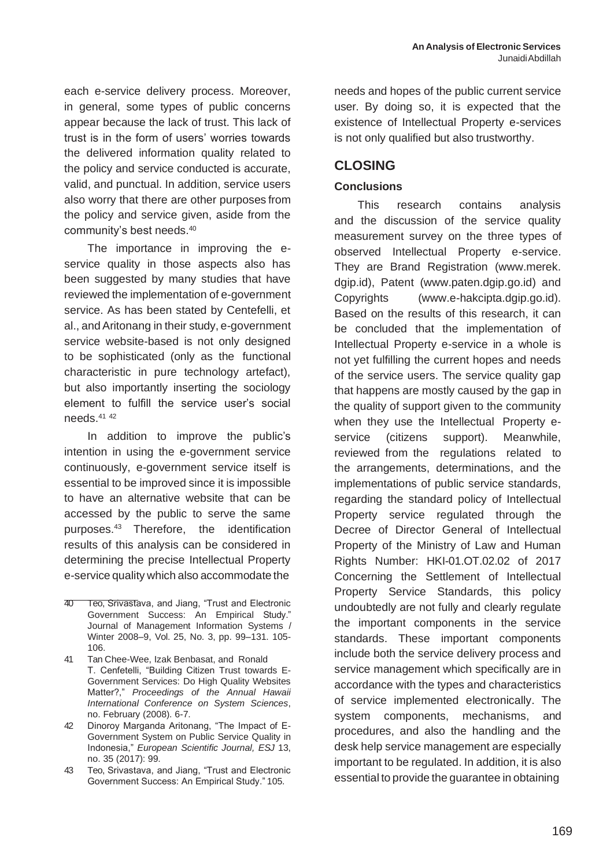each e-service delivery process. Moreover, in general, some types of public concerns appear because the lack of trust. This lack of trust is in the form of users' worries towards the delivered information quality related to the policy and service conducted is accurate, valid, and punctual. In addition, service users also worry that there are other purposes from the policy and service given, aside from the community's best needs.<sup>40</sup>

The importance in improving the eservice quality in those aspects also has been suggested by many studies that have reviewed the implementation of e-government service. As has been stated by Centefelli, et al., andAritonang in their study, e-government service website-based is not only designed to be sophisticated (only as the functional characteristic in pure technology artefact), but also importantly inserting the sociology element to fulfill the service user's social needs.<sup>41</sup> <sup>42</sup>

In addition to improve the public's intention in using the e-government service continuously, e-government service itself is essential to be improved since it is impossible to have an alternative website that can be accessed by the public to serve the same purposes.<sup>43</sup> Therefore, the identification results of this analysis can be considered in determining the precise Intellectual Property e-service quality which also accommodate the

41 Tan Chee-Wee, Izak Benbasat, and Ronald T. Cenfetelli, "Building Citizen Trust towards E-Government Services: Do High Quality Websites Matter?," *Proceedings of the Annual Hawaii International Conference on System Sciences*, no. February (2008). 6-7.

42 Dinoroy Marganda Aritonang, "The Impact of E-Government System on Public Service Quality in Indonesia," *European Scientific Journal, ESJ* 13, no. 35 (2017): 99.

43 Teo, Srivastava, and Jiang, "Trust and Electronic Government Success: An Empirical Study." 105.

needs and hopes of the public current service user. By doing so, it is expected that the existence of Intellectual Property e-services is not only qualified but also trustworthy.

# **CLOSING**

# **Conclusions**

This research contains analysis and the discussion of the service quality measurement survey on the three types of observed Intellectual Property e-service. They are Brand Registration (www.merek. dgip.id), Patent (www.paten.dgip.go.id) and Copyrights (www.e-hakcipta.dgip.go.id). Based on the results of this research, it can be concluded that the implementation of Intellectual Property e-service in a whole is not yet fulfilling the current hopes and needs of the service users. The service quality gap that happens are mostly caused by the gap in the quality of support given to the community when they use the Intellectual Property eservice (citizens support). Meanwhile, reviewed from the regulations related to the arrangements, determinations, and the implementations of public service standards, regarding the standard policy of Intellectual Property service regulated through the Decree of Director General of Intellectual Property of the Ministry of Law and Human Rights Number: HKI-01.OT.02.02 of 2017 Concerning the Settlement of Intellectual Property Service Standards, this policy undoubtedly are not fully and clearly regulate the important components in the service standards. These important components include both the service delivery process and service management which specifically are in accordance with the types and characteristics of service implemented electronically. The system components, mechanisms, and procedures, and also the handling and the desk help service management are especially important to be regulated. In addition, it is also essential to provide the guarantee in obtaining

<sup>40</sup> Teo, Srivastava, and Jiang, "Trust and Electronic Government Success: An Empirical Study." Journal of Management Information Systems / Winter 2008–9, Vol. 25, No. 3, pp. 99–131. 105- 106.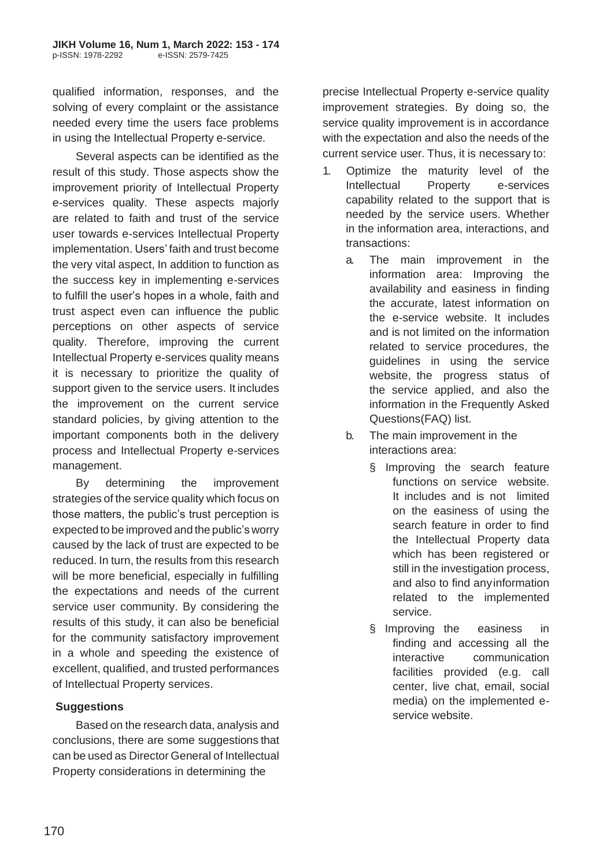qualified information, responses, and the solving of every complaint or the assistance needed every time the users face problems in using the Intellectual Property e-service.

Several aspects can be identified as the result of this study. Those aspects show the improvement priority of Intellectual Property e-services quality. These aspects majorly are related to faith and trust of the service user towards e-services Intellectual Property implementation. Users' faith and trust become the very vital aspect, In addition to function as the success key in implementing e-services to fulfill the user's hopes in a whole, faith and trust aspect even can influence the public perceptions on other aspects of service quality. Therefore, improving the current Intellectual Property e-services quality means it is necessary to prioritize the quality of support given to the service users. It includes the improvement on the current service standard policies, by giving attention to the important components both in the delivery process and Intellectual Property e-services management.

By determining the improvement strategies of the service quality which focus on those matters, the public's trust perception is expected to be improved and the public's worry caused by the lack of trust are expected to be reduced. In turn, the results from this research will be more beneficial, especially in fulfilling the expectations and needs of the current service user community. By considering the results of this study, it can also be beneficial for the community satisfactory improvement in a whole and speeding the existence of excellent, qualified, and trusted performances of Intellectual Property services.

# **Suggestions**

Based on the research data, analysis and conclusions, there are some suggestions that can be used as Director General of Intellectual Property considerations in determining the

precise Intellectual Property e-service quality improvement strategies. By doing so, the service quality improvement is in accordance with the expectation and also the needs of the current service user. Thus, it is necessary to:

- 1. Optimize the maturity level of the Intellectual Property e-services capability related to the support that is needed by the service users. Whether in the information area, interactions, and transactions:
	- a. The main improvement in the information area: Improving the availability and easiness in finding the accurate, latest information on the e-service website. It includes and is not limited on the information related to service procedures, the guidelines in using the service website, the progress status of the service applied, and also the information in the Frequently Asked Questions(FAQ) list.
	- b. The main improvement in the interactions area:
		- § Improving the search feature functions on service website. It includes and is not limited on the easiness of using the search feature in order to find the Intellectual Property data which has been registered or still in the investigation process, and also to find anyinformation related to the implemented service.
		- § Improving the easiness in finding and accessing all the interactive communication facilities provided (e.g. call center, live chat, email, social media) on the implemented eservice website.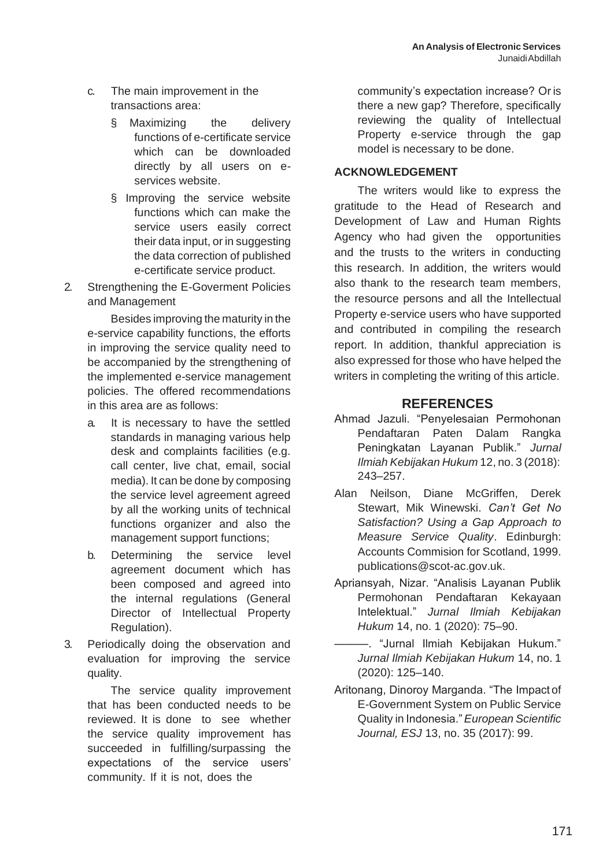- c. The main improvement in the transactions area:
	- § Maximizing the delivery functions of e-certificate service which can be downloaded directly by all users on eservices website.
	- § Improving the service website functions which can make the service users easily correct their data input, or in suggesting the data correction of published e-certificate service product.
- 2. Strengthening the E-Goverment Policies and Management

Besides improving the maturity in the e-service capability functions, the efforts in improving the service quality need to be accompanied by the strengthening of the implemented e-service management policies. The offered recommendations in this area are as follows:

- a. It is necessary to have the settled standards in managing various help desk and complaints facilities (e.g. call center, live chat, email, social media). It can be done by composing the service level agreement agreed by all the working units of technical functions organizer and also the management support functions;
- b. Determining the service level agreement document which has been composed and agreed into the internal regulations (General Director of Intellectual Property Regulation).
- 3. Periodically doing the observation and evaluation for improving the service quality.

The service quality improvement that has been conducted needs to be reviewed. It is done to see whether the service quality improvement has succeeded in fulfilling/surpassing the expectations of the service users' community. If it is not, does the

community's expectation increase? Or is there a new gap? Therefore, specifically reviewing the quality of Intellectual Property e-service through the gap model is necessary to be done.

## **ACKNOWLEDGEMENT**

The writers would like to express the gratitude to the Head of Research and Development of Law and Human Rights Agency who had given the opportunities and the trusts to the writers in conducting this research. In addition, the writers would also thank to the research team members, the resource persons and all the Intellectual Property e-service users who have supported and contributed in compiling the research report. In addition, thankful appreciation is also expressed for those who have helped the writers in completing the writing of this article.

# **REFERENCES**

- Ahmad Jazuli. "Penyelesaian Permohonan Pendaftaran Paten Dalam Rangka Peningkatan Layanan Publik." *Jurnal Ilmiah Kebijakan Hukum* 12, no. 3 (2018): 243–257.
- Alan Neilson, Diane McGriffen, Derek Stewart, Mik Winewski. *Can't Get No Satisfaction? Using a Gap Approach to Measure Service Quality*. Edinburgh: Accounts Commision for Scotland, 1999. [publications@scot-ac.gov.uk.](mailto:publications@scot-ac.gov.uk)
- Apriansyah, Nizar. "Analisis Layanan Publik Permohonan Pendaftaran Kekayaan Intelektual." *Jurnal Ilmiah Kebijakan Hukum* 14, no. 1 (2020): 75–90.
	- ———. "Jurnal Ilmiah Kebijakan Hukum." *Jurnal Ilmiah Kebijakan Hukum* 14, no. 1 (2020): 125–140.
- Aritonang, Dinoroy Marganda. "The Impact of E-Government System on Public Service Quality in Indonesia."*European Scientific Journal, ESJ* 13, no. 35 (2017): 99.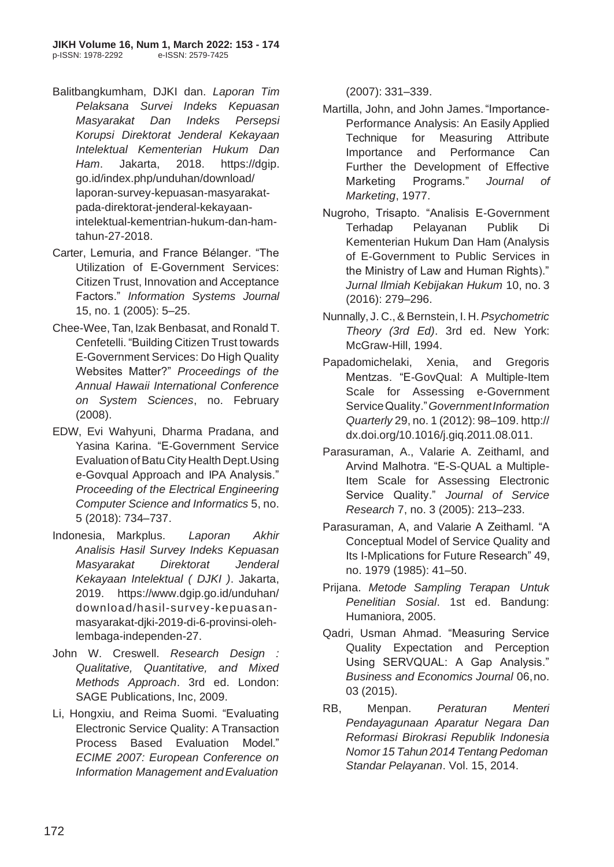- Balitbangkumham, DJKI dan. *Laporan Tim Pelaksana Survei Indeks Kepuasan Masyarakat Dan Indeks Persepsi Korupsi Direktorat Jenderal Kekayaan Intelektual Kementerian Hukum Dan Ham*. Jakarta, 2018. https://dgip. go.id/index.php/unduhan/download/ laporan-survey-kepuasan-masyarakatpada-direktorat-jenderal-kekayaanintelektual-kementrian-hukum-dan-hamtahun-27-2018.
- Carter, Lemuria, and France Bélanger. "The Utilization of E-Government Services: Citizen Trust, Innovation and Acceptance Factors." *Information Systems Journal*  15, no. 1 (2005): 5–25.
- Chee-Wee, Tan, Izak Benbasat, and Ronald T. Cenfetelli. "Building Citizen Trust towards E-Government Services: Do High Quality Websites Matter?" *Proceedings of the Annual Hawaii International Conference on System Sciences*, no. February (2008).
- EDW, Evi Wahyuni, Dharma Pradana, and Yasina Karina. "E-Government Service Evaluation of Batu City Health Dept. Using e-Govqual Approach and IPA Analysis." *Proceeding of the Electrical Engineering Computer Science and Informatics* 5, no. 5 (2018): 734–737.
- Indonesia, Markplus. *Laporan Akhir Analisis Hasil Survey Indeks Kepuasan Masyarakat Direktorat Jenderal Kekayaan Intelektual ( DJKI )*. Jakarta, 2019. [https://www.dgip.go.id/unduhan/](http://www.dgip.go.id/unduhan/) download/hasil-survey-kepuasanmasyarakat-djki-2019-di-6-provinsi-olehlembaga-independen-27.
- John W. Creswell. *Research Design : Qualitative, Quantitative, and Mixed Methods Approach*. 3rd ed. London: SAGE Publications, Inc, 2009.
- Li, Hongxiu, and Reima Suomi. "Evaluating Electronic Service Quality: A Transaction Process Based Evaluation Model." *ECIME 2007: European Conference on Information Management andEvaluation*

(2007): 331–339.

- Martilla, John, and John James."Importance-Performance Analysis: An Easily Applied Technique for Measuring Attribute Importance and Performance Can Further the Development of Effective Marketing Programs." *Journal of Marketing*, 1977.
- Nugroho, Trisapto. "Analisis E-Government Terhadap Pelayanan Publik Di Kementerian Hukum Dan Ham (Analysis of E-Government to Public Services in the Ministry of Law and Human Rights)." *Jurnal Ilmiah Kebijakan Hukum* 10, no. 3 (2016): 279–296.
- Nunnally, J. C.,& Bernstein, I. H.*Psychometric Theory (3rd Ed)*. 3rd ed. New York: McGraw-Hill, 1994.
- Papadomichelaki, Xenia, and Gregoris Mentzas. "E-GovQual: A Multiple-Item Scale for Assessing e-Government ServiceQuality."*GovernmentInformation Quarterly* 29, no. 1 (2012): 98–109. http:// dx.doi.org/10.1016/j.giq.2011.08.011.
- Parasuraman, A., Valarie A. Zeithaml, and Arvind Malhotra. "E-S-QUAL a Multiple-Item Scale for Assessing Electronic Service Quality." *Journal of Service Research* 7, no. 3 (2005): 213–233.
- Parasuraman, A, and Valarie A Zeithaml. "A Conceptual Model of Service Quality and Its I-Mplications for Future Research" 49, no. 1979 (1985): 41–50.
- Prijana. *Metode Sampling Terapan Untuk Penelitian Sosial*. 1st ed. Bandung: Humaniora, 2005.
- Qadri, Usman Ahmad. "Measuring Service Quality Expectation and Perception Using SERVQUAL: A Gap Analysis." *Business and Economics Journal* 06,no. 03 (2015).
- RB, Menpan. *Peraturan Menteri Pendayagunaan Aparatur Negara Dan Reformasi Birokrasi Republik Indonesia Nomor 15 Tahun 2014 Tentang Pedoman Standar Pelayanan*. Vol. 15, 2014.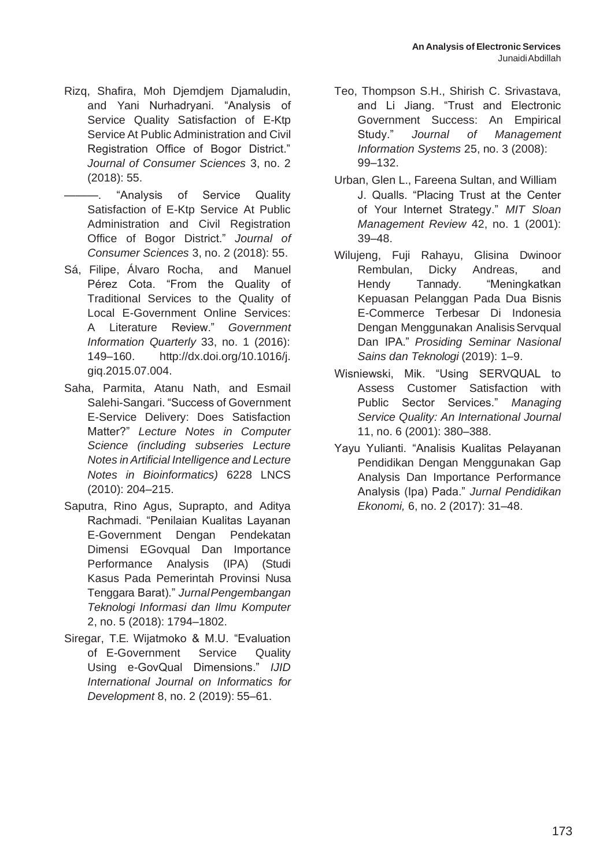- Rizq, Shafira, Moh Djemdjem Djamaludin, and Yani Nurhadryani. "Analysis of Service Quality Satisfaction of E-Ktp Service At Public Administration and Civil Registration Office of Bogor District." *Journal of Consumer Sciences* 3, no. 2 (2018): 55.
	- ———. "Analysis of Service Quality Satisfaction of E-Ktp Service At Public Administration and Civil Registration Office of Bogor District." *Journal of Consumer Sciences* 3, no. 2 (2018): 55.
- Sá, Filipe, Álvaro Rocha, and Manuel Pérez Cota. "From the Quality of Traditional Services to the Quality of Local E-Government Online Services: A Literature Review." *Government Information Quarterly* 33, no. 1 (2016): 149–160. [http://dx.doi.org/10.1016/j.](http://dx.doi.org/10.1016/j) giq.2015.07.004.
- Saha, Parmita, Atanu Nath, and Esmail Salehi-Sangari. "Success of Government E-Service Delivery: Does Satisfaction Matter?" *Lecture Notes in Computer Science (including subseries Lecture Notes in Artificial Intelligence and Lecture Notes in Bioinformatics)* 6228 LNCS (2010): 204–215.
- Saputra, Rino Agus, Suprapto, and Aditya Rachmadi. "Penilaian Kualitas Layanan E-Government Dengan Pendekatan Dimensi EGovqual Dan Importance Performance Analysis (IPA) (Studi Kasus Pada Pemerintah Provinsi Nusa Tenggara Barat)." *JurnalPengembangan Teknologi Informasi dan Ilmu Komputer*  2, no. 5 (2018): 1794–1802.
- Siregar, T.E. Wijatmoko & M.U. "Evaluation of E-Government Service Quality Using e-GovQual Dimensions." *IJID International Journal on Informatics for Development* 8, no. 2 (2019): 55–61.
- Teo, Thompson S.H., Shirish C. Srivastava, and Li Jiang. "Trust and Electronic Government Success: An Empirical Study." *Journal of Management Information Systems* 25, no. 3 (2008): 99–132.
- Urban, Glen L., Fareena Sultan, and William J. Qualls. "Placing Trust at the Center of Your Internet Strategy." *MIT Sloan Management Review* 42, no. 1 (2001): 39–48.
- Wilujeng, Fuji Rahayu, Glisina Dwinoor Rembulan, Dicky Andreas, and Hendy Tannady. "Meningkatkan Kepuasan Pelanggan Pada Dua Bisnis E-Commerce Terbesar Di Indonesia Dengan Menggunakan AnalisisServqual Dan IPA." *Prosiding Seminar Nasional Sains dan Teknologi* (2019): 1–9.
- Wisniewski, Mik. "Using SERVQUAL to Assess Customer Satisfaction with Public Sector Services." *Managing Service Quality: An International Journal*  11, no. 6 (2001): 380–388.
- Yayu Yulianti. "Analisis Kualitas Pelayanan Pendidikan Dengan Menggunakan Gap Analysis Dan Importance Performance Analysis (Ipa) Pada." *Jurnal Pendidikan Ekonomi,* 6, no. 2 (2017): 31–48.